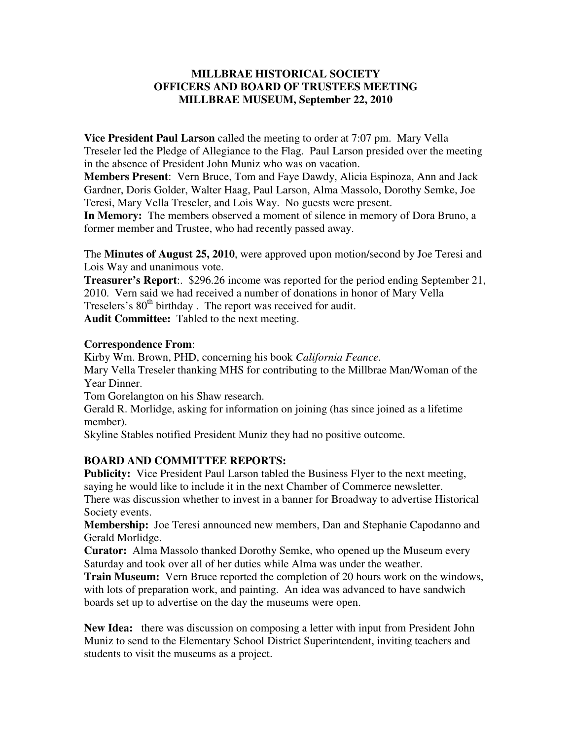### **MILLBRAE HISTORICAL SOCIETY OFFICERS AND BOARD OF TRUSTEES MEETING MILLBRAE MUSEUM, September 22, 2010**

**Vice President Paul Larson** called the meeting to order at 7:07 pm. Mary Vella Treseler led the Pledge of Allegiance to the Flag. Paul Larson presided over the meeting in the absence of President John Muniz who was on vacation.

**Members Present**: Vern Bruce, Tom and Faye Dawdy, Alicia Espinoza, Ann and Jack Gardner, Doris Golder, Walter Haag, Paul Larson, Alma Massolo, Dorothy Semke, Joe Teresi, Mary Vella Treseler, and Lois Way. No guests were present.

**In Memory:** The members observed a moment of silence in memory of Dora Bruno, a former member and Trustee, who had recently passed away.

The **Minutes of August 25, 2010**, were approved upon motion/second by Joe Teresi and Lois Way and unanimous vote.

**Treasurer's Report**:. \$296.26 income was reported for the period ending September 21, 2010. Vern said we had received a number of donations in honor of Mary Vella Treselers's  $80<sup>th</sup>$  birthday. The report was received for audit. **Audit Committee:** Tabled to the next meeting.

### **Correspondence From**:

Kirby Wm. Brown, PHD, concerning his book *California Feance*. Mary Vella Treseler thanking MHS for contributing to the Millbrae Man/Woman of the Year Dinner.

Tom Gorelangton on his Shaw research.

Gerald R. Morlidge, asking for information on joining (has since joined as a lifetime member).

Skyline Stables notified President Muniz they had no positive outcome.

## **BOARD AND COMMITTEE REPORTS:**

**Publicity:** Vice President Paul Larson tabled the Business Flyer to the next meeting, saying he would like to include it in the next Chamber of Commerce newsletter. There was discussion whether to invest in a banner for Broadway to advertise Historical Society events.

**Membership:** Joe Teresi announced new members, Dan and Stephanie Capodanno and Gerald Morlidge.

**Curator:** Alma Massolo thanked Dorothy Semke, who opened up the Museum every Saturday and took over all of her duties while Alma was under the weather.

**Train Museum:** Vern Bruce reported the completion of 20 hours work on the windows, with lots of preparation work, and painting. An idea was advanced to have sandwich boards set up to advertise on the day the museums were open.

**New Idea:** there was discussion on composing a letter with input from President John Muniz to send to the Elementary School District Superintendent, inviting teachers and students to visit the museums as a project.